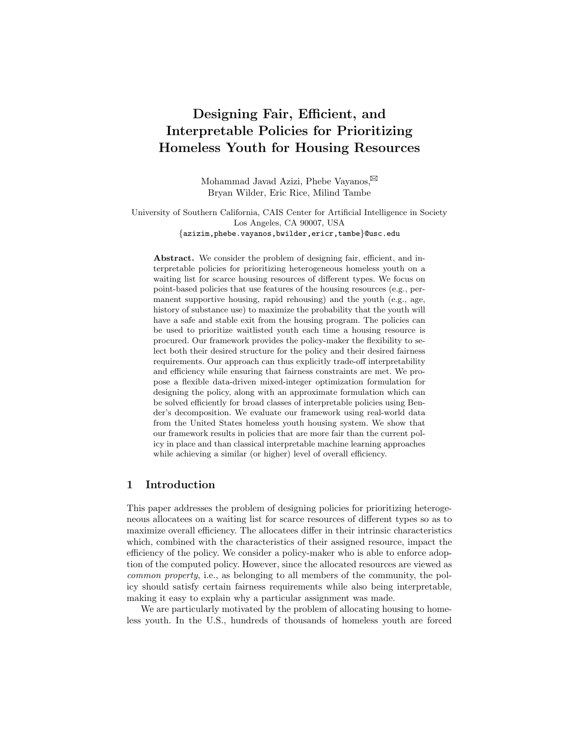# Designing Fair, Efficient, and Interpretable Policies for Prioritizing Homeless Youth for Housing Resources

Mohammad Javad Azizi, Phebe Vayanos,  $\boxtimes$ Bryan Wilder, Eric Rice, Milind Tambe

University of Southern California, CAIS Center for Artificial Intelligence in Society Los Angeles, CA 90007, USA {azizim,phebe.vayanos,bwilder,ericr,tambe}@usc.edu

Abstract. We consider the problem of designing fair, efficient, and interpretable policies for prioritizing heterogeneous homeless youth on a waiting list for scarce housing resources of different types. We focus on point-based policies that use features of the housing resources (e.g., permanent supportive housing, rapid rehousing) and the youth (e.g., age, history of substance use) to maximize the probability that the youth will have a safe and stable exit from the housing program. The policies can be used to prioritize waitlisted youth each time a housing resource is procured. Our framework provides the policy-maker the flexibility to select both their desired structure for the policy and their desired fairness requirements. Our approach can thus explicitly trade-off interpretability and efficiency while ensuring that fairness constraints are met. We propose a flexible data-driven mixed-integer optimization formulation for designing the policy, along with an approximate formulation which can be solved efficiently for broad classes of interpretable policies using Bender's decomposition. We evaluate our framework using real-world data from the United States homeless youth housing system. We show that our framework results in policies that are more fair than the current policy in place and than classical interpretable machine learning approaches while achieving a similar (or higher) level of overall efficiency.

## 1 Introduction

This paper addresses the problem of designing policies for prioritizing heterogeneous allocatees on a waiting list for scarce resources of different types so as to maximize overall efficiency. The allocatees differ in their intrinsic characteristics which, combined with the characteristics of their assigned resource, impact the efficiency of the policy. We consider a policy-maker who is able to enforce adoption of the computed policy. However, since the allocated resources are viewed as common property, i.e., as belonging to all members of the community, the policy should satisfy certain fairness requirements while also being interpretable, making it easy to explain why a particular assignment was made.

We are particularly motivated by the problem of allocating housing to homeless youth. In the U.S., hundreds of thousands of homeless youth are forced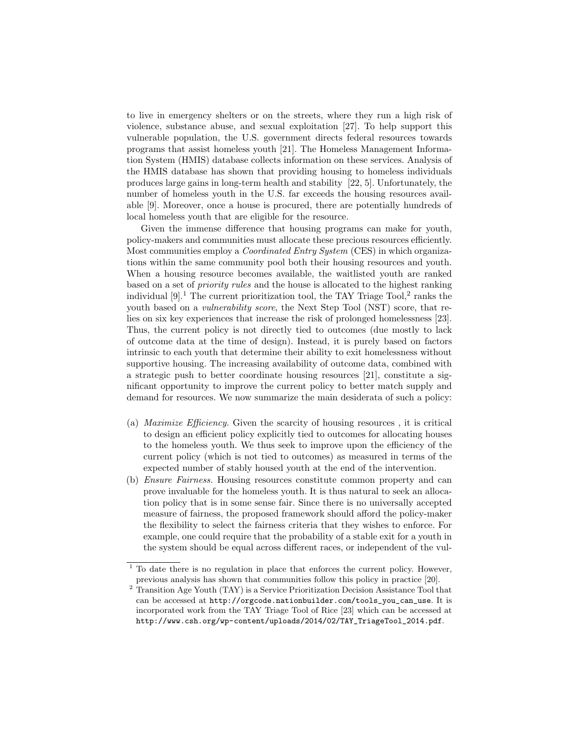to live in emergency shelters or on the streets, where they run a high risk of violence, substance abuse, and sexual exploitation [27]. To help support this vulnerable population, the U.S. government directs federal resources towards programs that assist homeless youth [21]. The Homeless Management Information System (HMIS) database collects information on these services. Analysis of the HMIS database has shown that providing housing to homeless individuals produces large gains in long-term health and stability [22, 5]. Unfortunately, the number of homeless youth in the U.S. far exceeds the housing resources available [9]. Moreover, once a house is procured, there are potentially hundreds of local homeless youth that are eligible for the resource.

Given the immense difference that housing programs can make for youth, policy-makers and communities must allocate these precious resources efficiently. Most communities employ a Coordinated Entry System (CES) in which organizations within the same community pool both their housing resources and youth. When a housing resource becomes available, the waitlisted youth are ranked based on a set of priority rules and the house is allocated to the highest ranking individual  $[9].<sup>1</sup>$  The current prioritization tool, the TAY Triage Tool,<sup>2</sup> ranks the youth based on a vulnerability score, the Next Step Tool (NST) score, that relies on six key experiences that increase the risk of prolonged homelessness [23]. Thus, the current policy is not directly tied to outcomes (due mostly to lack of outcome data at the time of design). Instead, it is purely based on factors intrinsic to each youth that determine their ability to exit homelessness without supportive housing. The increasing availability of outcome data, combined with a strategic push to better coordinate housing resources [21], constitute a significant opportunity to improve the current policy to better match supply and demand for resources. We now summarize the main desiderata of such a policy:

- (a) Maximize Efficiency. Given the scarcity of housing resources , it is critical to design an efficient policy explicitly tied to outcomes for allocating houses to the homeless youth. We thus seek to improve upon the efficiency of the current policy (which is not tied to outcomes) as measured in terms of the expected number of stably housed youth at the end of the intervention.
- (b) Ensure Fairness. Housing resources constitute common property and can prove invaluable for the homeless youth. It is thus natural to seek an allocation policy that is in some sense fair. Since there is no universally accepted measure of fairness, the proposed framework should afford the policy-maker the flexibility to select the fairness criteria that they wishes to enforce. For example, one could require that the probability of a stable exit for a youth in the system should be equal across different races, or independent of the vul-

<sup>&</sup>lt;sup>1</sup> To date there is no regulation in place that enforces the current policy. However, previous analysis has shown that communities follow this policy in practice [20].

<sup>&</sup>lt;sup>2</sup> Transition Age Youth (TAY) is a Service Prioritization Decision Assistance Tool that can be accessed at http://orgcode.nationbuilder.com/tools\_you\_can\_use. It is incorporated work from the TAY Triage Tool of Rice [23] which can be accessed at http://www.csh.org/wp-content/uploads/2014/02/TAY\_TriageTool\_2014.pdf.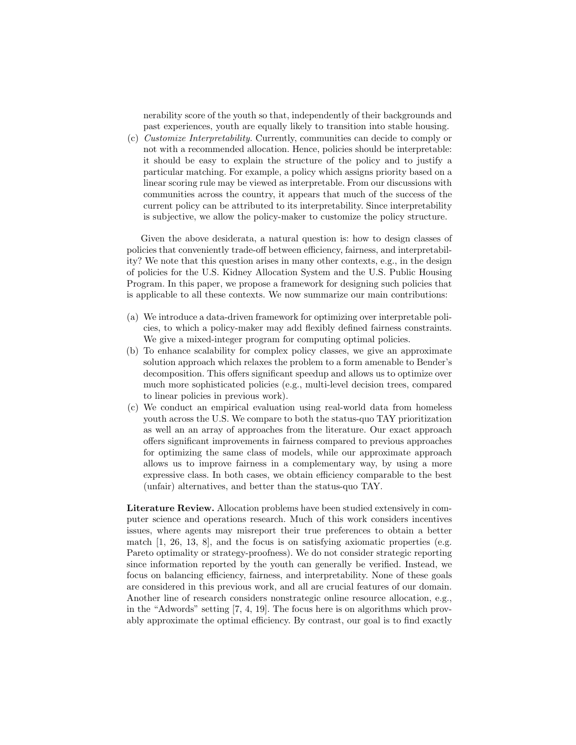nerability score of the youth so that, independently of their backgrounds and past experiences, youth are equally likely to transition into stable housing.

(c) Customize Interpretability. Currently, communities can decide to comply or not with a recommended allocation. Hence, policies should be interpretable: it should be easy to explain the structure of the policy and to justify a particular matching. For example, a policy which assigns priority based on a linear scoring rule may be viewed as interpretable. From our discussions with communities across the country, it appears that much of the success of the current policy can be attributed to its interpretability. Since interpretability is subjective, we allow the policy-maker to customize the policy structure.

Given the above desiderata, a natural question is: how to design classes of policies that conveniently trade-off between efficiency, fairness, and interpretability? We note that this question arises in many other contexts, e.g., in the design of policies for the U.S. Kidney Allocation System and the U.S. Public Housing Program. In this paper, we propose a framework for designing such policies that is applicable to all these contexts. We now summarize our main contributions:

- (a) We introduce a data-driven framework for optimizing over interpretable policies, to which a policy-maker may add flexibly defined fairness constraints. We give a mixed-integer program for computing optimal policies.
- (b) To enhance scalability for complex policy classes, we give an approximate solution approach which relaxes the problem to a form amenable to Bender's decomposition. This offers significant speedup and allows us to optimize over much more sophisticated policies (e.g., multi-level decision trees, compared to linear policies in previous work).
- (c) We conduct an empirical evaluation using real-world data from homeless youth across the U.S. We compare to both the status-quo TAY prioritization as well an an array of approaches from the literature. Our exact approach offers significant improvements in fairness compared to previous approaches for optimizing the same class of models, while our approximate approach allows us to improve fairness in a complementary way, by using a more expressive class. In both cases, we obtain efficiency comparable to the best (unfair) alternatives, and better than the status-quo TAY.

Literature Review. Allocation problems have been studied extensively in computer science and operations research. Much of this work considers incentives issues, where agents may misreport their true preferences to obtain a better match [1, 26, 13, 8], and the focus is on satisfying axiomatic properties (e.g. Pareto optimality or strategy-proofness). We do not consider strategic reporting since information reported by the youth can generally be verified. Instead, we focus on balancing efficiency, fairness, and interpretability. None of these goals are considered in this previous work, and all are crucial features of our domain. Another line of research considers nonstrategic online resource allocation, e.g., in the "Adwords" setting [7, 4, 19]. The focus here is on algorithms which provably approximate the optimal efficiency. By contrast, our goal is to find exactly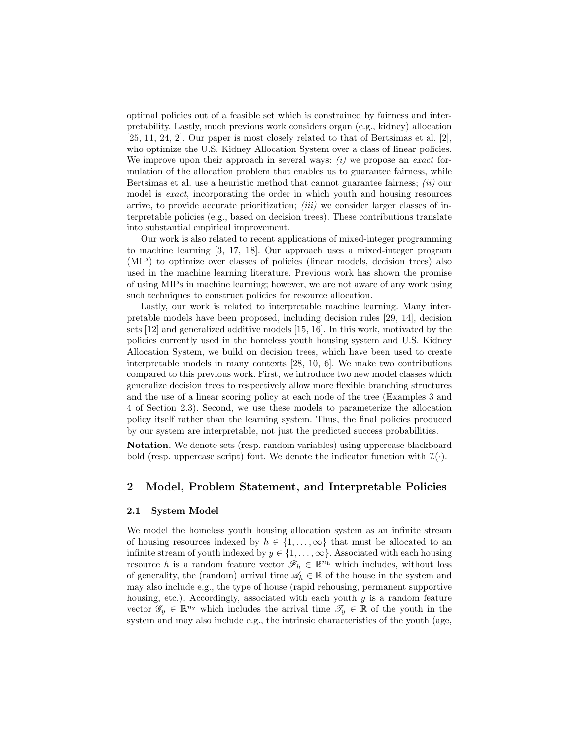optimal policies out of a feasible set which is constrained by fairness and interpretability. Lastly, much previous work considers organ (e.g., kidney) allocation [25, 11, 24, 2]. Our paper is most closely related to that of Bertsimas et al. [2], who optimize the U.S. Kidney Allocation System over a class of linear policies. We improve upon their approach in several ways:  $(i)$  we propose an *exact* formulation of the allocation problem that enables us to guarantee fairness, while Bertsimas et al. use a heuristic method that cannot guarantee fairness; *(ii)* our model is exact, incorporating the order in which youth and housing resources arrive, to provide accurate prioritization;  $(iii)$  we consider larger classes of interpretable policies (e.g., based on decision trees). These contributions translate into substantial empirical improvement.

Our work is also related to recent applications of mixed-integer programming to machine learning [3, 17, 18]. Our approach uses a mixed-integer program (MIP) to optimize over classes of policies (linear models, decision trees) also used in the machine learning literature. Previous work has shown the promise of using MIPs in machine learning; however, we are not aware of any work using such techniques to construct policies for resource allocation.

Lastly, our work is related to interpretable machine learning. Many interpretable models have been proposed, including decision rules [29, 14], decision sets [12] and generalized additive models [15, 16]. In this work, motivated by the policies currently used in the homeless youth housing system and U.S. Kidney Allocation System, we build on decision trees, which have been used to create interpretable models in many contexts [28, 10, 6]. We make two contributions compared to this previous work. First, we introduce two new model classes which generalize decision trees to respectively allow more flexible branching structures and the use of a linear scoring policy at each node of the tree (Examples 3 and 4 of Section 2.3). Second, we use these models to parameterize the allocation policy itself rather than the learning system. Thus, the final policies produced by our system are interpretable, not just the predicted success probabilities.

Notation. We denote sets (resp. random variables) using uppercase blackboard bold (resp. uppercase script) font. We denote the indicator function with  $\mathcal{I}(\cdot)$ .

## 2 Model, Problem Statement, and Interpretable Policies

### 2.1 System Model

We model the homeless youth housing allocation system as an infinite stream of housing resources indexed by  $h \in \{1, \ldots, \infty\}$  that must be allocated to an infinite stream of youth indexed by  $y \in \{1, \ldots, \infty\}$ . Associated with each housing resource h is a random feature vector  $\mathscr{F}_h \in \mathbb{R}^{n_h}$  which includes, without loss of generality, the (random) arrival time  $\mathscr{A}_h \in \mathbb{R}$  of the house in the system and may also include e.g., the type of house (rapid rehousing, permanent supportive housing, etc.). Accordingly, associated with each youth  $y$  is a random feature vector  $\mathscr{G}_y \in \mathbb{R}^{n_y}$  which includes the arrival time  $\mathscr{T}_y \in \mathbb{R}$  of the youth in the system and may also include e.g., the intrinsic characteristics of the youth (age,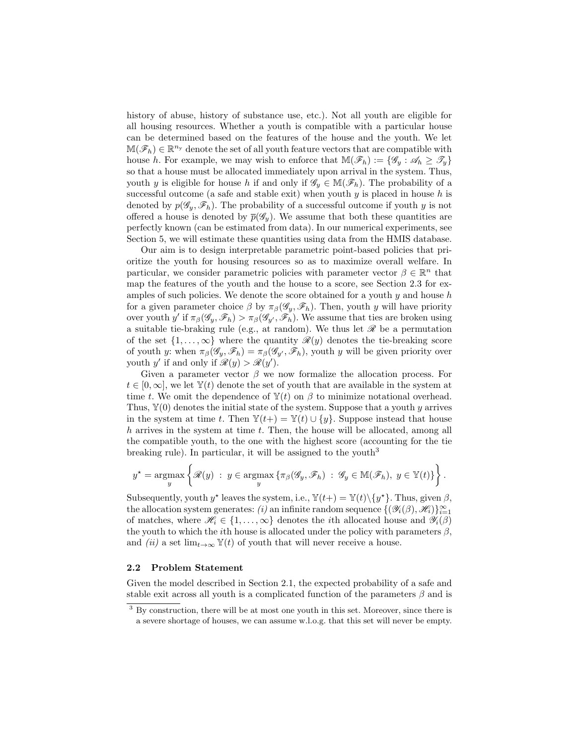history of abuse, history of substance use, etc.). Not all youth are eligible for all housing resources. Whether a youth is compatible with a particular house can be determined based on the features of the house and the youth. We let  $\mathbb{M}(\mathscr{F}_h) \in \mathbb{R}^{n_y}$  denote the set of all youth feature vectors that are compatible with house h. For example, we may wish to enforce that  $\mathbb{M}(\mathscr{F}_h) := \{ \mathscr{G}_y : \mathscr{A}_h \geq \mathscr{T}_y \}$ so that a house must be allocated immediately upon arrival in the system. Thus, youth y is eligible for house h if and only if  $\mathscr{G}_y \in \mathbb{M}(\mathscr{F}_h)$ . The probability of a successful outcome (a safe and stable exit) when youth  $y$  is placed in house  $h$  is denoted by  $p(\mathcal{G}_y, \mathcal{F}_h)$ . The probability of a successful outcome if youth y is not offered a house is denoted by  $\bar{p}(\mathscr{G}_y)$ . We assume that both these quantities are perfectly known (can be estimated from data). In our numerical experiments, see Section 5, we will estimate these quantities using data from the HMIS database.

Our aim is to design interpretable parametric point-based policies that prioritize the youth for housing resources so as to maximize overall welfare. In particular, we consider parametric policies with parameter vector  $\beta \in \mathbb{R}^n$  that map the features of the youth and the house to a score, see Section 2.3 for examples of such policies. We denote the score obtained for a youth  $y$  and house  $h$ for a given parameter choice  $\beta$  by  $\pi_\beta(\mathscr{G}_y, \mathscr{F}_h)$ . Then, youth y will have priority over youth y' if  $\pi_\beta(\mathscr{G}_y, \mathscr{F}_h) > \pi_\beta(\mathscr{G}_{y'}, \mathscr{F}_h)$ . We assume that ties are broken using a suitable tie-braking rule (e.g., at random). We thus let  $\mathscr R$  be a permutation of the set  $\{1,\ldots,\infty\}$  where the quantity  $\mathcal{R}(y)$  denotes the tie-breaking score of youth y: when  $\pi_{\beta}(\mathscr{G}_v, \mathscr{F}_h) = \pi_{\beta}(\mathscr{G}_{v'}, \mathscr{F}_h)$ , youth y will be given priority over youth y' if and only if  $\mathcal{R}(y) > \mathcal{R}(y')$ .

Given a parameter vector  $\beta$  we now formalize the allocation process. For  $t \in [0,\infty]$ , we let  $\mathbb{Y}(t)$  denote the set of youth that are available in the system at time t. We omit the dependence of  $\mathbb{Y}(t)$  on  $\beta$  to minimize notational overhead. Thus,  $\mathbb{Y}(0)$  denotes the initial state of the system. Suppose that a youth y arrives in the system at time t. Then  $\mathbb{Y}(t+) = \mathbb{Y}(t) \cup \{y\}$ . Suppose instead that house  $h$  arrives in the system at time  $t$ . Then, the house will be allocated, among all the compatible youth, to the one with the highest score (accounting for the tie breaking rule). In particular, it will be assigned to the youth<sup>3</sup>

$$
y^* = \operatorname*{argmax}_{y} \left\{ \mathcal{R}(y) : y \in \operatorname*{argmax}_{y} \left\{ \pi_{\beta}(\mathcal{G}_y, \mathcal{F}_h) : \mathcal{G}_y \in \mathbb{M}(\mathcal{F}_h), y \in \mathbb{Y}(t) \right\} \right\}.
$$

Subsequently, youth  $y^*$  leaves the system, i.e.,  $\mathbb{Y}(t+) = \mathbb{Y}(t) \setminus \{y^*\}$ . Thus, given  $\beta$ , the allocation system generates: (i) an infinite random sequence  $\{(\mathscr{Y}_i(\beta), \mathscr{H}_i)\}_{i=1}^{\infty}$ of matches, where  $\mathscr{H}_i \in \{1,\ldots,\infty\}$  denotes the *i*th allocated house and  $\mathscr{Y}_i(\beta)$ the youth to which the *i*th house is allocated under the policy with parameters  $\beta$ , and (ii) a set  $\lim_{t\to\infty} \mathbb{Y}(t)$  of youth that will never receive a house.

#### 2.2 Problem Statement

Given the model described in Section 2.1, the expected probability of a safe and stable exit across all youth is a complicated function of the parameters  $\beta$  and is

<sup>&</sup>lt;sup>3</sup> By construction, there will be at most one youth in this set. Moreover, since there is a severe shortage of houses, we can assume w.l.o.g. that this set will never be empty.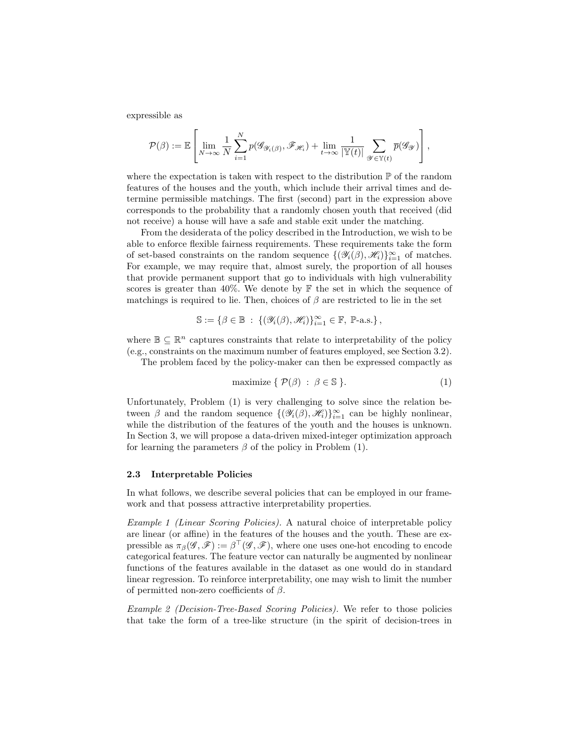expressible as

$$
\mathcal{P}(\beta) := \mathbb{E}\left[\lim_{N\to\infty}\frac{1}{N}\sum_{i=1}^N p(\mathscr{G}_{\mathscr{Y}_i(\beta)},\mathscr{F}_{\mathscr{H}_i}) + \lim_{t\to\infty}\frac{1}{|\mathbb{Y}(t)|}\sum_{\mathscr{Y}\in\mathbb{Y}(t)}\overline{p}(\mathscr{G}_{\mathscr{Y}})\right],
$$

where the expectation is taken with respect to the distribution  $\mathbb P$  of the random features of the houses and the youth, which include their arrival times and determine permissible matchings. The first (second) part in the expression above corresponds to the probability that a randomly chosen youth that received (did not receive) a house will have a safe and stable exit under the matching.

From the desiderata of the policy described in the Introduction, we wish to be able to enforce flexible fairness requirements. These requirements take the form of set-based constraints on the random sequence  $\{(\mathscr{Y}_i(\beta), \mathscr{H}_i)\}_{i=1}^{\infty}$  of matches. For example, we may require that, almost surely, the proportion of all houses that provide permanent support that go to individuals with high vulnerability scores is greater than  $40\%$ . We denote by  $\mathbb F$  the set in which the sequence of matchings is required to lie. Then, choices of  $\beta$  are restricted to lie in the set

$$
\mathbb{S} := \{ \beta \in \mathbb{B} \; : \; \{ (\mathscr{Y}_i(\beta), \mathscr{H}_i) \}_{i=1}^{\infty} \in \mathbb{F}, \; \mathbb{P}\text{-a.s.} \},
$$

where  $\mathbb{B} \subseteq \mathbb{R}^n$  captures constraints that relate to interpretability of the policy (e.g., constraints on the maximum number of features employed, see Section 3.2).

The problem faced by the policy-maker can then be expressed compactly as

$$
\text{maximize } \{ \mathcal{P}(\beta) \, : \, \beta \in \mathbb{S} \}. \tag{1}
$$

Unfortunately, Problem (1) is very challenging to solve since the relation between  $\beta$  and the random sequence  $\{(\mathscr{Y}_i(\beta), \mathscr{H}_i)\}_{i=1}^{\infty}$  can be highly nonlinear, while the distribution of the features of the youth and the houses is unknown. In Section 3, we will propose a data-driven mixed-integer optimization approach for learning the parameters  $\beta$  of the policy in Problem (1).

#### 2.3 Interpretable Policies

In what follows, we describe several policies that can be employed in our framework and that possess attractive interpretability properties.

Example 1 (Linear Scoring Policies). A natural choice of interpretable policy are linear (or affine) in the features of the houses and the youth. These are expressible as  $\pi_{\beta}(\mathscr{G},\mathscr{F}) := \beta^{\top}(\mathscr{G},\mathscr{F})$ , where one uses one-hot encoding to encode categorical features. The feature vector can naturally be augmented by nonlinear functions of the features available in the dataset as one would do in standard linear regression. To reinforce interpretability, one may wish to limit the number of permitted non-zero coefficients of  $\beta$ .

Example 2 (Decision-Tree-Based Scoring Policies). We refer to those policies that take the form of a tree-like structure (in the spirit of decision-trees in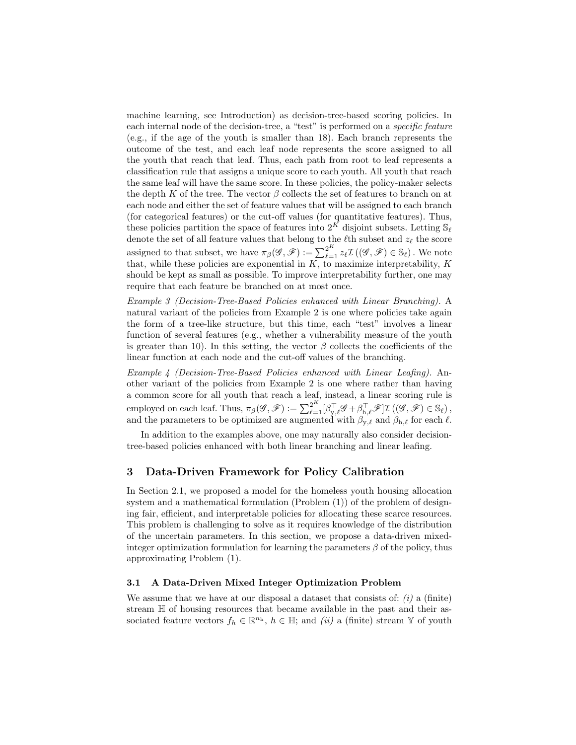machine learning, see Introduction) as decision-tree-based scoring policies. In each internal node of the decision-tree, a "test" is performed on a *specific feature* (e.g., if the age of the youth is smaller than 18). Each branch represents the outcome of the test, and each leaf node represents the score assigned to all the youth that reach that leaf. Thus, each path from root to leaf represents a classification rule that assigns a unique score to each youth. All youth that reach the same leaf will have the same score. In these policies, the policy-maker selects the depth K of the tree. The vector  $\beta$  collects the set of features to branch on at each node and either the set of feature values that will be assigned to each branch (for categorical features) or the cut-off values (for quantitative features). Thus, these policies partition the space of features into  $2^K$  disjoint subsets. Letting  $\mathbb{S}_{\ell}$ denote the set of all feature values that belong to the  $\ell$ th subset and  $z_{\ell}$  the score assigned to that subset, we have  $\pi_\beta(\mathscr{G}, \mathscr{F}) := \sum_{\ell=1}^{2^K} z_\ell \mathcal{I}((\mathscr{G}, \mathscr{F}) \in \mathbb{S}_\ell)$ . We note that, while these policies are exponential in  $K$ , to maximize interpretability,  $K$ should be kept as small as possible. To improve interpretability further, one may require that each feature be branched on at most once.

Example 3 (Decision-Tree-Based Policies enhanced with Linear Branching). A natural variant of the policies from Example 2 is one where policies take again the form of a tree-like structure, but this time, each "test" involves a linear function of several features (e.g., whether a vulnerability measure of the youth is greater than 10). In this setting, the vector  $\beta$  collects the coefficients of the linear function at each node and the cut-off values of the branching.

Example 4 (Decision-Tree-Based Policies enhanced with Linear Leafing). Another variant of the policies from Example 2 is one where rather than having a common score for all youth that reach a leaf, instead, a linear scoring rule is employed on each leaf. Thus,  $\pi_{\beta}(\mathscr{G}, \mathscr{F}) := \sum_{\ell=1}^{2^K} [\beta_{y,\ell}^\top \mathscr{G} + \beta_{h,\ell}^\top \mathscr{F}] \mathcal{I}((\mathscr{G}, \mathscr{F}) \in \mathbb{S}_{\ell}),$ and the parameters to be optimized are augmented with  $\beta_{y,\ell}$  and  $\beta_{h,\ell}$  for each  $\ell$ .

In addition to the examples above, one may naturally also consider decisiontree-based policies enhanced with both linear branching and linear leafing.

## 3 Data-Driven Framework for Policy Calibration

In Section 2.1, we proposed a model for the homeless youth housing allocation system and a mathematical formulation (Problem (1)) of the problem of designing fair, efficient, and interpretable policies for allocating these scarce resources. This problem is challenging to solve as it requires knowledge of the distribution of the uncertain parameters. In this section, we propose a data-driven mixedinteger optimization formulation for learning the parameters  $\beta$  of the policy, thus approximating Problem (1).

### 3.1 A Data-Driven Mixed Integer Optimization Problem

We assume that we have at our disposal a dataset that consists of:  $(i)$  a (finite) stream  $\mathbb H$  of housing resources that became available in the past and their associated feature vectors  $f_h \in \mathbb{R}^{n_h}$ ,  $h \in \mathbb{H}$ ; and  $(ii)$  a (finite) stream Y of youth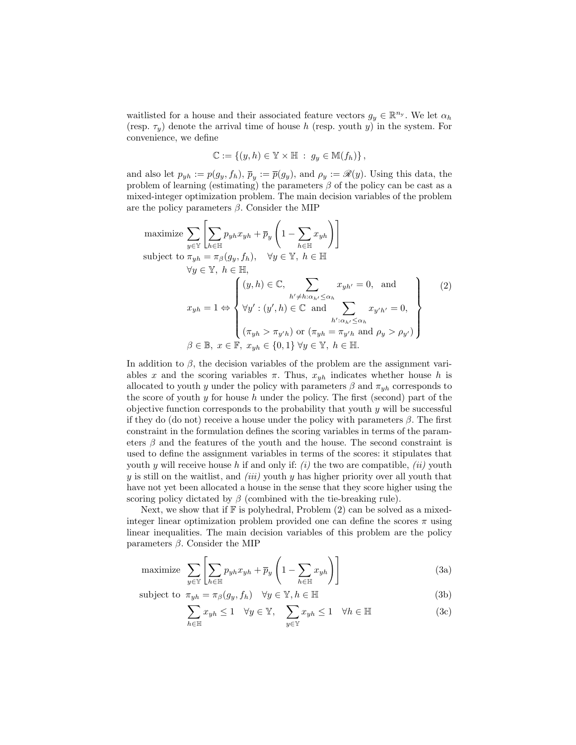waitlisted for a house and their associated feature vectors  $g_y \in \mathbb{R}^{n_y}$ . We let  $\alpha_h$ (resp.  $\tau_y$ ) denote the arrival time of house h (resp. youth y) in the system. For convenience, we define

$$
\mathbb{C} := \{(y, h) \in \mathbb{Y} \times \mathbb{H} : g_y \in \mathbb{M}(f_h)\},\
$$

and also let  $p_{yh} := p(g_y, f_h)$ ,  $\overline{p}_y := \overline{p}(g_y)$ , and  $\rho_y := \mathscr{R}(y)$ . Using this data, the problem of learning (estimating) the parameters  $\beta$  of the policy can be cast as a mixed-integer optimization problem. The main decision variables of the problem are the policy parameters  $\beta$ . Consider the MIP

maximize 
$$
\sum_{y \in \mathbb{Y}} \left[ \sum_{h \in \mathbb{H}} p_{yh} x_{yh} + \overline{p}_y \left( 1 - \sum_{h \in \mathbb{H}} x_{yh} \right) \right]
$$
  
\nsubject to  $\pi_{yh} = \pi_\beta(g_y, f_h)$ ,  $\forall y \in \mathbb{Y}$ ,  $h \in \mathbb{H}$   
\n $\forall y \in \mathbb{Y}$ ,  $h \in \mathbb{H}$ ,  
\n
$$
x_{yh} = 1 \Leftrightarrow \begin{cases} (y, h) \in \mathbb{C}, & \sum_{h' \neq h : \alpha_{h'} \leq \alpha_h} x_{yh'} = 0, \text{ and} \\ \forall y' : (y', h) \in \mathbb{C} \text{ and } & \sum_{h' : \alpha_{h'} \leq \alpha_h} x_{y'h'} = 0, \\ (\pi_{yh} > \pi_{y'h}) \text{ or } (\pi_{yh} = \pi_{y'h} \text{ and } \rho_y > \rho_{y'}) \end{cases}
$$
\n $\beta \in \mathbb{B}$ ,  $x \in \mathbb{F}$ ,  $x_{yh} \in \{0, 1\} \forall y \in \mathbb{Y}$ ,  $h \in \mathbb{H}$ .

In addition to  $\beta$ , the decision variables of the problem are the assignment variables x and the scoring variables  $\pi$ . Thus,  $x_{yh}$  indicates whether house h is allocated to youth y under the policy with parameters  $\beta$  and  $\pi_{uh}$  corresponds to the score of youth  $y$  for house  $h$  under the policy. The first (second) part of the objective function corresponds to the probability that youth  $y$  will be successful if they do (do not) receive a house under the policy with parameters  $\beta$ . The first constraint in the formulation defines the scoring variables in terms of the parameters  $\beta$  and the features of the youth and the house. The second constraint is used to define the assignment variables in terms of the scores: it stipulates that youth y will receive house h if and only if:  $(i)$  the two are compatible,  $(ii)$  youth y is still on the waitlist, and *(iii)* youth y has higher priority over all youth that have not yet been allocated a house in the sense that they score higher using the scoring policy dictated by  $\beta$  (combined with the tie-breaking rule).

Next, we show that if  $\mathbb F$  is polyhedral, Problem (2) can be solved as a mixedinteger linear optimization problem provided one can define the scores  $\pi$  using linear inequalities. The main decision variables of this problem are the policy parameters  $\beta$ . Consider the MIP

maximize 
$$
\sum_{y \in \mathbb{Y}} \left[ \sum_{h \in \mathbb{H}} p_{yh} x_{yh} + \overline{p}_y \left( 1 - \sum_{h \in \mathbb{H}} x_{yh} \right) \right]
$$
 (3a)

subject to 
$$
\pi_{yh} = \pi_{\beta}(g_y, f_h) \quad \forall y \in \mathbb{Y}, h \in \mathbb{H}
$$
 (3b)

$$
\sum_{h \in \mathbb{H}} x_{yh} \le 1 \quad \forall y \in \mathbb{Y}, \quad \sum_{y \in \mathbb{Y}} x_{yh} \le 1 \quad \forall h \in \mathbb{H}
$$
 (3c)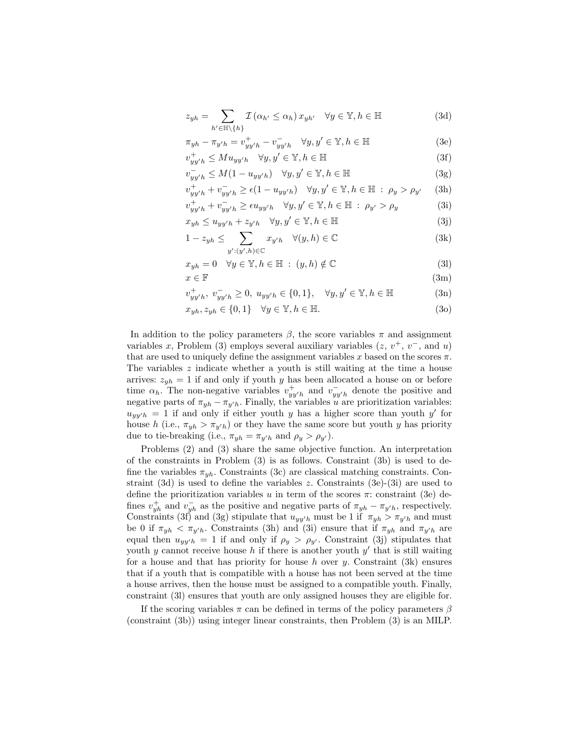$$
z_{yh} = \sum_{h' \in \mathbb{H} \setminus \{h\}} \mathcal{I}(\alpha_{h'} \le \alpha_h) x_{yh'} \quad \forall y \in \mathbb{Y}, h \in \mathbb{H}
$$
 (3d)

$$
\pi_{yh} - \pi_{y'h} = v_{yy'h}^+ - v_{yy'h}^- \quad \forall y, y' \in \mathbb{Y}, h \in \mathbb{H}
$$
\n(3e)

$$
v_{yy'h}^+ \le M u_{yy'h} \quad \forall y, y' \in \mathbb{Y}, h \in \mathbb{H}
$$
\n(3f)

$$
v_{yy'h}^- \le M(1 - u_{yy'h}) \quad \forall y, y' \in \mathbb{Y}, h \in \mathbb{H}
$$
\n(3g)

$$
v_{yy'h}^+ + v_{yy'h}^- \ge \epsilon (1 - u_{yy'h}) \quad \forall y, y' \in \mathbb{Y}, h \in \mathbb{H} \; : \; \rho_y > \rho_{y'} \quad \text{(3h)}
$$

$$
v_{yy'h}^+ + v_{yy'h}^- \ge \epsilon u_{yy'h} \quad \forall y, y' \in \mathbb{Y}, h \in \mathbb{H} \; : \; \rho_{y'} > \rho_y \tag{3i}
$$

$$
x_{yh} \le u_{yy'h} + z_{y'h} \quad \forall y, y' \in \mathbb{Y}, h \in \mathbb{H}
$$
\n(3j)

$$
1 - z_{yh} \le \sum_{y': (y',h) \in \mathbb{C}} x_{y'h} \quad \forall (y,h) \in \mathbb{C}
$$
 (3k)

$$
x_{yh} = 0 \quad \forall y \in \mathbb{Y}, h \in \mathbb{H} \; : \; (y, h) \notin \mathbb{C}
$$
 (31)

$$
x \in \mathbb{F} \tag{3m}
$$

$$
v_{yy'h}^+, v_{yy'h}^- \ge 0, u_{yy'h} \in \{0, 1\}, \quad \forall y, y' \in \mathbb{Y}, h \in \mathbb{H}
$$
 (3n)

$$
x_{yh}, z_{yh} \in \{0, 1\} \quad \forall y \in \mathbb{Y}, h \in \mathbb{H}.\tag{30}
$$

In addition to the policy parameters  $\beta$ , the score variables  $\pi$  and assignment variables x, Problem (3) employs several auxiliary variables  $(z, v^+, v^-, \text{ and } u)$ that are used to uniquely define the assignment variables x based on the scores  $\pi$ . The variables z indicate whether a youth is still waiting at the time a house arrives:  $z_{yh} = 1$  if and only if youth y has been allocated a house on or before time  $\alpha_h$ . The non-negative variables  $v_{yy'h}^+$  and  $v_{yy'h}^-$  denote the positive and negative parts of  $\pi_{yh} - \pi_{y'h}$ . Finally, the variables u are prioritization variables:  $u_{yy'h} = 1$  if and only if either youth y has a higher score than youth y' for house h (i.e.,  $\pi_{yh} > \pi_{y'h}$ ) or they have the same score but youth y has priority due to tie-breaking (i.e.,  $\pi_{yh} = \pi_{y'h}$  and  $\rho_y > \rho_{y'}$ ).

Problems (2) and (3) share the same objective function. An interpretation of the constraints in Problem (3) is as follows. Constraint (3b) is used to define the variables  $\pi_{uh}$ . Constraints (3c) are classical matching constraints. Constraint  $(3d)$  is used to define the variables z. Constraints  $(3e)-(3i)$  are used to define the prioritization variables u in term of the scores  $\pi$ : constraint (3e) defines  $v_{yh}^+$  and  $v_{yh}^-$  as the positive and negative parts of  $\pi_{yh} - \pi_{y'h}$ , respectively. Constraints (3f) and (3g) stipulate that  $u_{yy'h}$  must be 1 if  $\pi_{yh} > \pi_{y'h}$  and must be 0 if  $\pi_{yh} < \pi_{y'h}$ . Constraints (3h) and (3i) ensure that if  $\pi_{yh}$  and  $\pi_{y'h}$  are equal then  $u_{yy'h} = 1$  if and only if  $\rho_y > \rho_{y'}$ . Constraint (3j) stipulates that youth y cannot receive house h if there is another youth  $y'$  that is still waiting for a house and that has priority for house  $h$  over  $y$ . Constraint (3k) ensures that if a youth that is compatible with a house has not been served at the time a house arrives, then the house must be assigned to a compatible youth. Finally, constraint (3l) ensures that youth are only assigned houses they are eligible for.

If the scoring variables  $\pi$  can be defined in terms of the policy parameters  $\beta$ (constraint (3b)) using integer linear constraints, then Problem (3) is an MILP.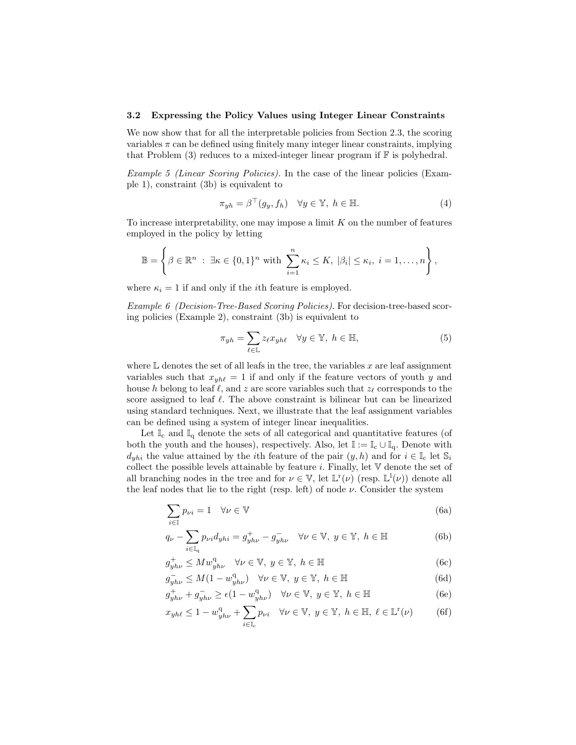#### 3.2 Expressing the Policy Values using Integer Linear Constraints

We now show that for all the interpretable policies from Section 2.3, the scoring variables  $\pi$  can be defined using finitely many integer linear constraints, implying that Problem  $(3)$  reduces to a mixed-integer linear program if  $\mathbb F$  is polyhedral.

Example 5 (Linear Scoring Policies). In the case of the linear policies (Example 1), constraint (3b) is equivalent to

$$
\pi_{yh} = \beta^{\top} (g_y, f_h) \quad \forall y \in \mathbb{Y}, \ h \in \mathbb{H}.
$$
 (4)

To increase interpretability, one may impose a limit  $K$  on the number of features employed in the policy by letting

$$
\mathbb{B} = \left\{\beta \in \mathbb{R}^n : \exists \kappa \in \{0,1\}^n \text{ with } \sum_{i=1}^n \kappa_i \leq K, |\beta_i| \leq \kappa_i, i = 1,\ldots,n\right\},\
$$

where  $\kappa_i = 1$  if and only if the *i*th feature is employed.

Example 6 (Decision-Tree-Based Scoring Policies). For decision-tree-based scoring policies (Example 2), constraint (3b) is equivalent to

$$
\pi_{yh} = \sum_{\ell \in \mathbb{L}} z_{\ell} x_{yh\ell} \quad \forall y \in \mathbb{Y}, \ h \in \mathbb{H}, \tag{5}
$$

where  $\mathbb L$  denotes the set of all leafs in the tree, the variables x are leaf assignment variables such that  $x_{yh\ell} = 1$  if and only if the feature vectors of youth y and house h belong to leaf  $\ell$ , and z are score variables such that  $z_{\ell}$  corresponds to the score assigned to leaf  $\ell$ . The above constraint is bilinear but can be linearized using standard techniques. Next, we illustrate that the leaf assignment variables can be defined using a system of integer linear inequalities.

Let  $\mathbb{I}_c$  and  $\mathbb{I}_q$  denote the sets of all categorical and quantitative features (of both the youth and the houses), respectively. Also, let  $\mathbb{I} := \mathbb{I}_{c} \cup \mathbb{I}_{q}$ . Denote with  $d_{uhi}$  the value attained by the *i*th feature of the pair  $(y, h)$  and for  $i \in \mathbb{I}_c$  let  $\mathbb{S}_i$ collect the possible levels attainable by feature  $i$ . Finally, let  $V$  denote the set of all branching nodes in the tree and for  $\nu \in \mathbb{V}$ , let  $\mathbb{L}^{r}(\nu)$  (resp.  $\mathbb{L}^{1}(\nu)$ ) denote all the leaf nodes that lie to the right (resp. left) of node  $\nu$ . Consider the system

$$
\sum_{i \in \mathbb{I}} p_{\nu i} = 1 \quad \forall \nu \in \mathbb{V} \tag{6a}
$$

$$
q_{\nu} - \sum_{i \in \mathbb{I}_q} p_{\nu i} d_{yhi} = g_{yh\nu}^+ - g_{yh\nu}^- \quad \forall \nu \in \mathbb{V}, \ y \in \mathbb{Y}, \ h \in \mathbb{H}
$$
 (6b)

$$
g_{y h\nu}^{+} \leq M w_{y h\nu}^{q} \quad \forall \nu \in \mathbb{V}, \ y \in \mathbb{Y}, \ h \in \mathbb{H}
$$
 (6c)

$$
g_{y h\nu}^{-} \leq M(1 - w_{y h\nu}^{q}) \quad \forall \nu \in \mathbb{V}, \ y \in \mathbb{Y}, \ h \in \mathbb{H}
$$
\n
$$
(6d)
$$

$$
g_{y h \nu}^{+} + g_{y h \nu}^{-} \ge \epsilon (1 - w_{y h \nu}^{q}) \quad \forall \nu \in \mathbb{V}, \ y \in \mathbb{Y}, \ h \in \mathbb{H}
$$
 (6e)

$$
x_{yh\ell} \le 1 - w_{yh\nu}^q + \sum_{i \in \mathbb{I}_c} p_{\nu i} \quad \forall \nu \in \mathbb{V}, \ y \in \mathbb{Y}, \ h \in \mathbb{H}, \ \ell \in \mathbb{L}^r(\nu) \tag{6f}
$$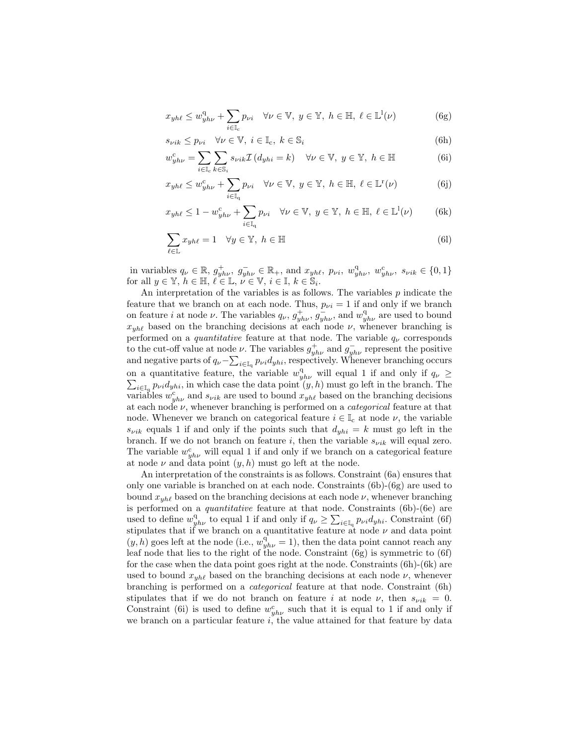$$
x_{yh\ell} \le w_{yh\nu}^q + \sum_{i \in \mathbb{I}_c} p_{\nu i} \quad \forall \nu \in \mathbb{V}, \ y \in \mathbb{Y}, \ h \in \mathbb{H}, \ \ell \in \mathbb{L}^1(\nu) \tag{6g}
$$

$$
s_{\nu ik} \le p_{\nu i} \quad \forall \nu \in \mathbb{V}, \ i \in \mathbb{I}_c, \ k \in \mathbb{S}_i \tag{6h}
$$

$$
w_{y h \nu}^{\mathbf{c}} = \sum_{i \in \mathbb{I}_{c}} \sum_{k \in \mathbb{S}_{i}} s_{v i k} \mathcal{I}\left(d_{y h i} = k\right) \quad \forall \nu \in \mathbb{V}, \ y \in \mathbb{Y}, \ h \in \mathbb{H} \tag{6i}
$$

$$
x_{yh\ell} \le w_{yh\nu}^c + \sum_{i \in \mathbb{I}_q} p_{\nu i} \quad \forall \nu \in \mathbb{V}, \ y \in \mathbb{Y}, \ h \in \mathbb{H}, \ \ell \in \mathbb{L}^r(\nu) \tag{6j}
$$

$$
x_{yh\ell} \le 1 - w_{yh\nu}^c + \sum_{i \in \mathbb{I}_q} p_{\nu i} \quad \forall \nu \in \mathbb{V}, \ y \in \mathbb{Y}, \ h \in \mathbb{H}, \ \ell \in \mathbb{L}^1(\nu) \tag{6k}
$$

$$
\sum_{\ell \in \mathbb{L}} x_{yh\ell} = 1 \quad \forall y \in \mathbb{Y}, \ h \in \mathbb{H}
$$
 (61)

in variables  $q_{\nu} \in \mathbb{R}$ ,  $g_{y h \nu}^+$ ,  $g_{y h \nu}^- \in \mathbb{R}_+$ , and  $x_{y h \ell}$ ,  $p_{\nu i}$ ,  $w_{y h \nu}^q$ ,  $w_{y h \nu}^c$ ,  $s_{\nu i k} \in \{0, 1\}$ for all  $y \in \mathbb{Y}$ ,  $h \in \mathbb{H}$ ,  $\ell \in \mathbb{L}$ ,  $\nu \in \mathbb{V}$ ,  $i \in \mathbb{I}$ ,  $k \in \mathbb{S}_i$ .

An interpretation of the variables is as follows. The variables  $p$  indicate the feature that we branch on at each node. Thus,  $p_{\nu i} = 1$  if and only if we branch on feature *i* at node *v*. The variables  $q_{\nu}, g_{y h\nu}^{+}, g_{y h\nu}^{-}$ , and  $w_{y h\nu}^{q}$  are used to bound  $x_{uh\ell}$  based on the branching decisions at each node  $\nu$ , whenever branching is performed on a *quantitative* feature at that node. The variable  $q_{\nu}$  corresponds to the cut-off value at node  $\nu$ . The variables  $g_{y h\nu}^{+}$  and  $g_{y h\nu}^{-}$  represent the positive and negative parts of  $q_{\nu}-\sum_{i\in\mathbb{I}_q} p_{\nu i}d_{yhi}$ , respectively. Whenever branching occurs on a quantitative feature, the variable  $w_{y h\nu}^q$  will equal 1 if and only if  $q_{\nu} \ge$  $\sum_{i\in\mathbb{I}_q} p_{\nu i}d_{yhi}$ , in which case the data point  $(y,h)$  must go left in the branch. The variables  $w_{y h\nu}^c$  and  $s_{\nu i k}$  are used to bound  $x_{y h\ell}$  based on the branching decisions at each node  $\nu$ , whenever branching is performed on a *categorical* feature at that node. Whenever we branch on categorical feature  $i \in \mathbb{I}_c$  at node  $\nu$ , the variable  $s_{vik}$  equals 1 if and only if the points such that  $d_{yhi} = k$  must go left in the branch. If we do not branch on feature i, then the variable  $s_{\nu i k}$  will equal zero. The variable  $w_{gh\nu}^c$  will equal 1 if and only if we branch on a categorical feature at node  $\nu$  and data point  $(y, h)$  must go left at the node.

An interpretation of the constraints is as follows. Constraint (6a) ensures that only one variable is branched on at each node. Constraints (6b)-(6g) are used to bound  $x_{uh\ell}$  based on the branching decisions at each node  $\nu$ , whenever branching is performed on a quantitative feature at that node. Constraints (6b)-(6e) are used to define  $w_{y h \nu}^{\mathbf{q}}$  to equal 1 if and only if  $q_{\nu} \geq \sum_{i \in \mathbb{I}_q} p_{\nu i} d_{y h i}$ . Constraint (6f) stipulates that if we branch on a quantitative feature at node  $\nu$  and data point  $(y, h)$  goes left at the node (i.e.,  $w_{y h\nu}^{\mathbf{q}} = 1$ ), then the data point cannot reach any leaf node that lies to the right of the node. Constraint (6g) is symmetric to (6f) for the case when the data point goes right at the node. Constraints (6h)-(6k) are used to bound  $x_{uh\ell}$  based on the branching decisions at each node  $\nu$ , whenever branching is performed on a categorical feature at that node. Constraint (6h) stipulates that if we do not branch on feature i at node  $\nu$ , then  $s_{\nu i k} = 0$ . Constraint (6i) is used to define  $w_{y h\nu}^c$  such that it is equal to 1 if and only if we branch on a particular feature  $i$ , the value attained for that feature by data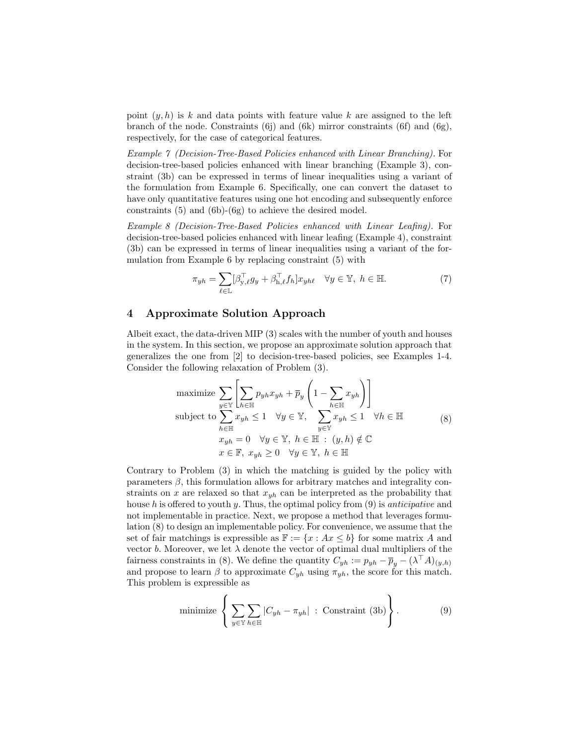point  $(y, h)$  is k and data points with feature value k are assigned to the left branch of the node. Constraints  $(6<sub>i</sub>)$  and  $(6<sub>k</sub>)$  mirror constraints  $(6<sub>f</sub>)$  and  $(6<sub>g</sub>)$ , respectively, for the case of categorical features.

Example 7 (Decision-Tree-Based Policies enhanced with Linear Branching). For decision-tree-based policies enhanced with linear branching (Example 3), constraint (3b) can be expressed in terms of linear inequalities using a variant of the formulation from Example 6. Specifically, one can convert the dataset to have only quantitative features using one hot encoding and subsequently enforce constraints (5) and (6b)-(6g) to achieve the desired model.

Example 8 (Decision-Tree-Based Policies enhanced with Linear Leafing). For decision-tree-based policies enhanced with linear leafing (Example 4), constraint (3b) can be expressed in terms of linear inequalities using a variant of the formulation from Example 6 by replacing constraint (5) with

$$
\pi_{yh} = \sum_{\ell \in \mathbb{L}} [\beta_{y,\ell}^{\top} g_y + \beta_{h,\ell}^{\top} f_h] x_{yh\ell} \quad \forall y \in \mathbb{Y}, \ h \in \mathbb{H}.
$$
 (7)

## 4 Approximate Solution Approach

Albeit exact, the data-driven MIP (3) scales with the number of youth and houses in the system. In this section, we propose an approximate solution approach that generalizes the one from [2] to decision-tree-based policies, see Examples 1-4. Consider the following relaxation of Problem (3).

maximize 
$$
\sum_{y \in \mathbb{Y}} \left[ \sum_{h \in \mathbb{H}} p_{yh} x_{yh} + \overline{p}_y \left( 1 - \sum_{h \in \mathbb{H}} x_{yh} \right) \right]
$$
  
subject to 
$$
\sum_{h \in \mathbb{H}} x_{yh} \le 1 \quad \forall y \in \mathbb{Y}, \quad \sum_{y \in \mathbb{Y}} x_{yh} \le 1 \quad \forall h \in \mathbb{H}
$$

$$
x_{yh} = 0 \quad \forall y \in \mathbb{Y}, \ h \in \mathbb{H} \ : (y, h) \notin \mathbb{C}
$$

$$
x \in \mathbb{F}, \ x_{yh} \ge 0 \quad \forall y \in \mathbb{Y}, \ h \in \mathbb{H}
$$

$$
(8)
$$

Contrary to Problem (3) in which the matching is guided by the policy with parameters  $\beta$ , this formulation allows for arbitrary matches and integrality constraints on x are relaxed so that  $x_{uh}$  can be interpreted as the probability that house  $h$  is offered to youth  $y$ . Thus, the optimal policy from  $(9)$  is *anticipative* and not implementable in practice. Next, we propose a method that leverages formulation (8) to design an implementable policy. For convenience, we assume that the set of fair matchings is expressible as  $\mathbb{F} := \{x : Ax \leq b\}$  for some matrix A and vector b. Moreover, we let  $\lambda$  denote the vector of optimal dual multipliers of the fairness constraints in (8). We define the quantity  $C_{yh} := p_{yh} - \overline{p}_y - (\lambda^{\top} A)_{(y,h)}$ and propose to learn  $\beta$  to approximate  $C_{yh}$  using  $\pi_{yh}$ , the score for this match. This problem is expressible as

minimize 
$$
\left\{ \sum_{y \in \mathbb{Y}} \sum_{h \in \mathbb{H}} |C_{yh} - \pi_{yh}| : \text{Constraint (3b)} \right\}.
$$
 (9)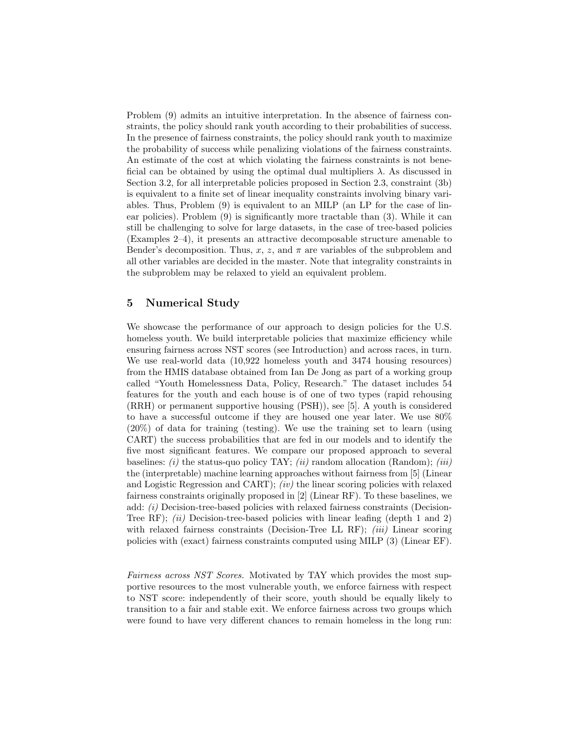Problem (9) admits an intuitive interpretation. In the absence of fairness constraints, the policy should rank youth according to their probabilities of success. In the presence of fairness constraints, the policy should rank youth to maximize the probability of success while penalizing violations of the fairness constraints. An estimate of the cost at which violating the fairness constraints is not beneficial can be obtained by using the optimal dual multipliers  $\lambda$ . As discussed in Section 3.2, for all interpretable policies proposed in Section 2.3, constraint (3b) is equivalent to a finite set of linear inequality constraints involving binary variables. Thus, Problem (9) is equivalent to an MILP (an LP for the case of linear policies). Problem (9) is significantly more tractable than (3). While it can still be challenging to solve for large datasets, in the case of tree-based policies (Examples 2–4), it presents an attractive decomposable structure amenable to Bender's decomposition. Thus, x, z, and  $\pi$  are variables of the subproblem and all other variables are decided in the master. Note that integrality constraints in the subproblem may be relaxed to yield an equivalent problem.

## 5 Numerical Study

We showcase the performance of our approach to design policies for the U.S. homeless youth. We build interpretable policies that maximize efficiency while ensuring fairness across NST scores (see Introduction) and across races, in turn. We use real-world data (10,922 homeless youth and 3474 housing resources) from the HMIS database obtained from Ian De Jong as part of a working group called "Youth Homelessness Data, Policy, Research." The dataset includes 54 features for the youth and each house is of one of two types (rapid rehousing (RRH) or permanent supportive housing (PSH)), see [5]. A youth is considered to have a successful outcome if they are housed one year later. We use 80% (20%) of data for training (testing). We use the training set to learn (using CART) the success probabilities that are fed in our models and to identify the five most significant features. We compare our proposed approach to several baselines: (i) the status-quo policy TAY; (ii) random allocation (Random); (iii) the (interpretable) machine learning approaches without fairness from [5] (Linear and Logistic Regression and CART);  $(iv)$  the linear scoring policies with relaxed fairness constraints originally proposed in [2] (Linear RF). To these baselines, we add: (i) Decision-tree-based policies with relaxed fairness constraints (Decision-Tree RF); *(ii)* Decision-tree-based policies with linear leafing (depth 1 and 2) with relaxed fairness constraints (Decision-Tree LL RF);  $(iii)$  Linear scoring policies with (exact) fairness constraints computed using MILP (3) (Linear EF).

Fairness across NST Scores. Motivated by TAY which provides the most supportive resources to the most vulnerable youth, we enforce fairness with respect to NST score: independently of their score, youth should be equally likely to transition to a fair and stable exit. We enforce fairness across two groups which were found to have very different chances to remain homeless in the long run: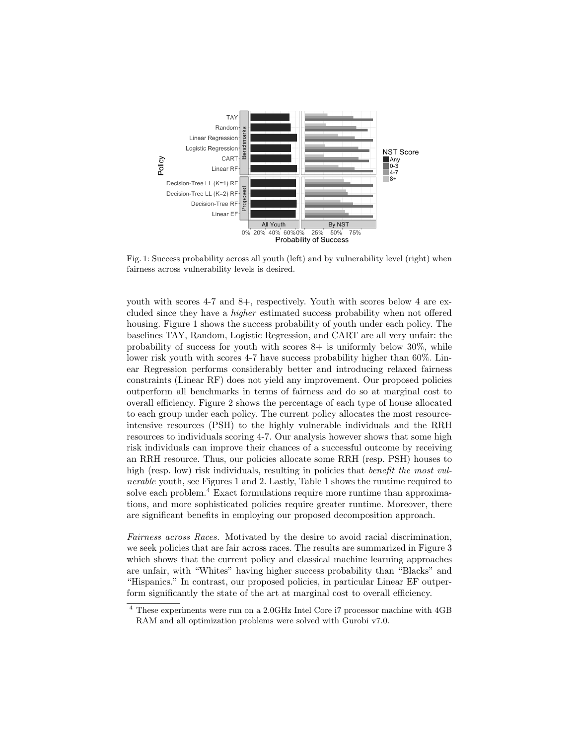

Fig. 1: Success probability across all youth (left) and by vulnerability level (right) when fairness across vulnerability levels is desired.

youth with scores 4-7 and 8+, respectively. Youth with scores below 4 are excluded since they have a higher estimated success probability when not offered housing. Figure 1 shows the success probability of youth under each policy. The baselines TAY, Random, Logistic Regression, and CART are all very unfair: the probability of success for youth with scores  $8+$  is uniformly below 30%, while lower risk youth with scores 4-7 have success probability higher than  $60\%$ . Linear Regression performs considerably better and introducing relaxed fairness constraints (Linear RF) does not yield any improvement. Our proposed policies outperform all benchmarks in terms of fairness and do so at marginal cost to overall efficiency. Figure 2 shows the percentage of each type of house allocated to each group under each policy. The current policy allocates the most resourceintensive resources (PSH) to the highly vulnerable individuals and the RRH resources to individuals scoring 4-7. Our analysis however shows that some high risk individuals can improve their chances of a successful outcome by receiving an RRH resource. Thus, our policies allocate some RRH (resp. PSH) houses to high (resp. low) risk individuals, resulting in policies that *benefit the most vul*nerable youth, see Figures 1 and 2. Lastly, Table 1 shows the runtime required to solve each problem.<sup>4</sup> Exact formulations require more runtime than approximations, and more sophisticated policies require greater runtime. Moreover, there are significant benefits in employing our proposed decomposition approach.

Fairness across Races. Motivated by the desire to avoid racial discrimination, we seek policies that are fair across races. The results are summarized in Figure 3 which shows that the current policy and classical machine learning approaches are unfair, with "Whites" having higher success probability than "Blacks" and "Hispanics." In contrast, our proposed policies, in particular Linear EF outperform significantly the state of the art at marginal cost to overall efficiency.

<sup>4</sup> These experiments were run on a 2.0GHz Intel Core i7 processor machine with 4GB RAM and all optimization problems were solved with Gurobi v7.0.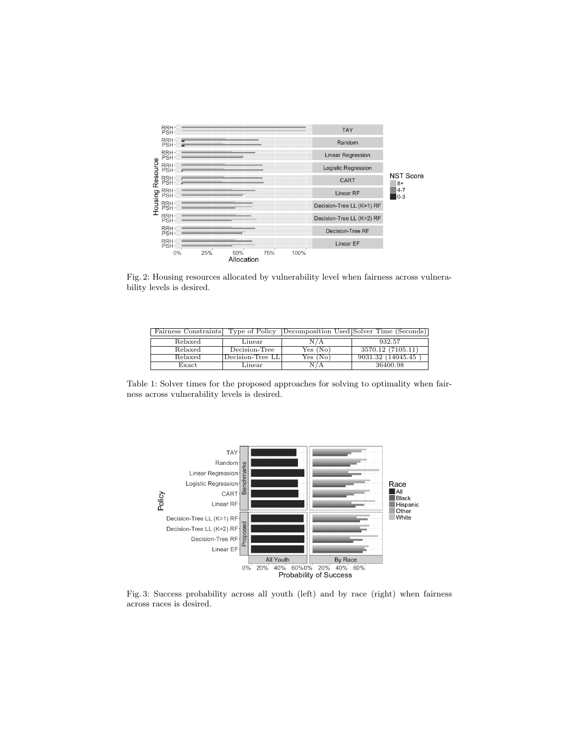

Fig. 2: Housing resources allocated by vulnerability level when fairness across vulnerability levels is desired.

|         |                  |          | Fairness Constraints Type of Policy Decomposition Used Solver Time (Seconds) |
|---------|------------------|----------|------------------------------------------------------------------------------|
| Relaxed | Linear           | N/A      | 932.57                                                                       |
| Relaxed | Decision-Tree    | Yes (No) | 3570.12(7105.11)                                                             |
| Relaxed | Decision-Tree LL | Yes (No) | 9031.32 (14045.45)                                                           |
| Exact   | Linear           |          | 36400.98                                                                     |

Table 1: Solver times for the proposed approaches for solving to optimality when fairness across vulnerability levels is desired.



Fig. 3: Success probability across all youth (left) and by race (right) when fairness across races is desired.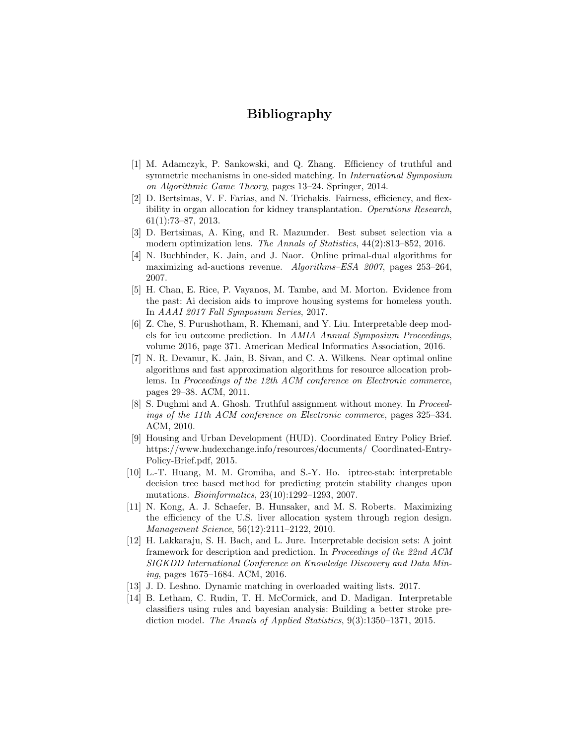## Bibliography

- [1] M. Adamczyk, P. Sankowski, and Q. Zhang. Efficiency of truthful and symmetric mechanisms in one-sided matching. In *International Symposium* on Algorithmic Game Theory, pages 13–24. Springer, 2014.
- [2] D. Bertsimas, V. F. Farias, and N. Trichakis. Fairness, efficiency, and flexibility in organ allocation for kidney transplantation. Operations Research, 61(1):73–87, 2013.
- [3] D. Bertsimas, A. King, and R. Mazumder. Best subset selection via a modern optimization lens. The Annals of Statistics, 44(2):813–852, 2016.
- [4] N. Buchbinder, K. Jain, and J. Naor. Online primal-dual algorithms for maximizing ad-auctions revenue. Algorithms–ESA 2007, pages 253–264, 2007.
- [5] H. Chan, E. Rice, P. Vayanos, M. Tambe, and M. Morton. Evidence from the past: Ai decision aids to improve housing systems for homeless youth. In AAAI 2017 Fall Symposium Series, 2017.
- [6] Z. Che, S. Purushotham, R. Khemani, and Y. Liu. Interpretable deep models for icu outcome prediction. In AMIA Annual Symposium Proceedings, volume 2016, page 371. American Medical Informatics Association, 2016.
- [7] N. R. Devanur, K. Jain, B. Sivan, and C. A. Wilkens. Near optimal online algorithms and fast approximation algorithms for resource allocation problems. In Proceedings of the 12th ACM conference on Electronic commerce, pages 29–38. ACM, 2011.
- [8] S. Dughmi and A. Ghosh. Truthful assignment without money. In Proceedings of the 11th ACM conference on Electronic commerce, pages 325–334. ACM, 2010.
- [9] Housing and Urban Development (HUD). Coordinated Entry Policy Brief. https://www.hudexchange.info/resources/documents/ Coordinated-Entry-Policy-Brief.pdf, 2015.
- [10] L.-T. Huang, M. M. Gromiha, and S.-Y. Ho. iptree-stab: interpretable decision tree based method for predicting protein stability changes upon mutations. Bioinformatics, 23(10):1292–1293, 2007.
- [11] N. Kong, A. J. Schaefer, B. Hunsaker, and M. S. Roberts. Maximizing the efficiency of the U.S. liver allocation system through region design. Management Science, 56(12):2111–2122, 2010.
- [12] H. Lakkaraju, S. H. Bach, and L. Jure. Interpretable decision sets: A joint framework for description and prediction. In Proceedings of the 22nd ACM SIGKDD International Conference on Knowledge Discovery and Data Mining, pages 1675–1684. ACM, 2016.
- [13] J. D. Leshno. Dynamic matching in overloaded waiting lists. 2017.
- [14] B. Letham, C. Rudin, T. H. McCormick, and D. Madigan. Interpretable classifiers using rules and bayesian analysis: Building a better stroke prediction model. The Annals of Applied Statistics, 9(3):1350–1371, 2015.